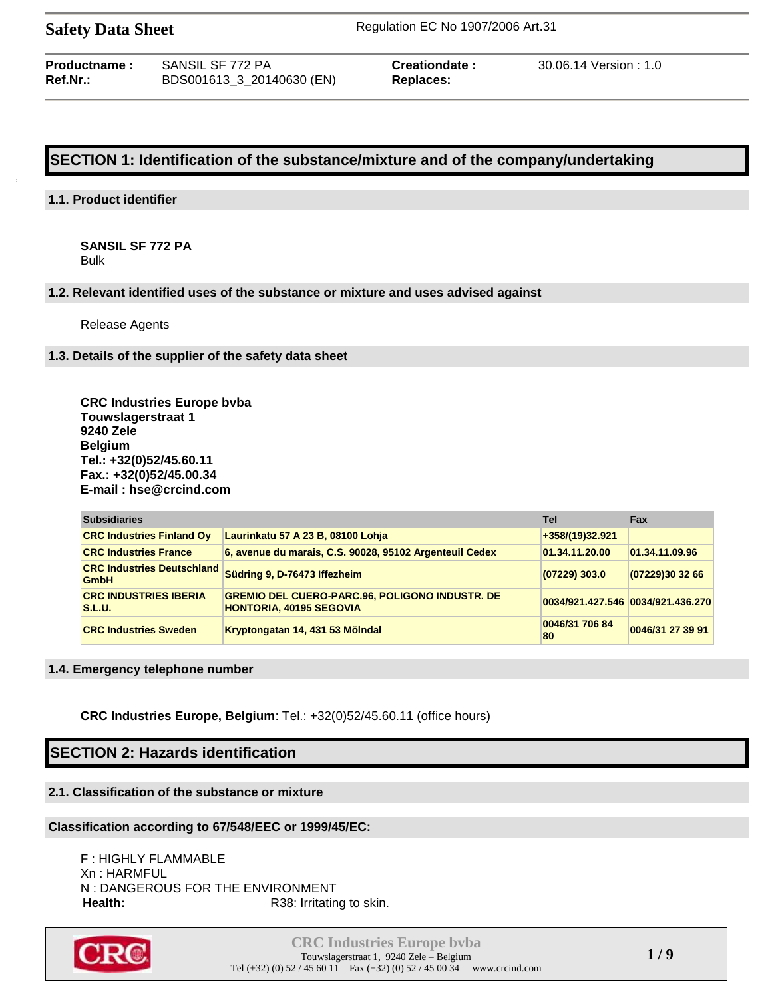| Productname : | SANSIL SF 772 PA          |
|---------------|---------------------------|
| Ref.Nr.:      | BDS001613_3_20140630 (EN) |

 $Replaces:$ 

**Preationdate :** 30.06.14 Version : 1.0

# **SECTION 1: Identification of the substance/mixture and of the company/undertaking**

### **1.1. Product identifier**

**SANSIL SF 772 PA** Bulk

### **1.2. Relevant identified uses of the substance or mixture and uses advised against**

Release Agents

### **1.3. Details of the supplier of the safety data sheet**

**CRC Industries Europe bvba Touwslagerstraat 1 9240 Zele Belgium Tel.: +32(0)52/45.60.11 Fax.: +32(0)52/45.00.34 E-mail : hse@crcind.com**

| <b>Subsidiaries</b>                              |                                                                                         | Tel                  | Fax                               |
|--------------------------------------------------|-----------------------------------------------------------------------------------------|----------------------|-----------------------------------|
| <b>CRC Industries Finland Oy</b>                 | Laurinkatu 57 A 23 B, 08100 Lohja                                                       | +358/(19)32.921      |                                   |
| <b>CRC Industries France</b>                     | 6, avenue du marais, C.S. 90028, 95102 Argenteuil Cedex                                 | 01.34.11.20.00       | 01.34.11.09.96                    |
| <b>CRC Industries Deutschland</b><br><b>GmbH</b> | Südring 9, D-76473 Iffezheim                                                            | $(07229)$ 303.0      | (07229)30 32 66                   |
| <b>CRC INDUSTRIES IBERIA</b><br><b>S.L.U.</b>    | <b>GREMIO DEL CUERO-PARC.96, POLIGONO INDUSTR. DE</b><br><b>HONTORIA, 40195 SEGOVIA</b> |                      | 0034/921.427.546 0034/921.436.270 |
| <b>CRC Industries Sweden</b>                     | Kryptongatan 14, 431 53 Mölndal                                                         | 0046/31 706 84<br>80 | 0046/31 27 39 91                  |

### **1.4. Emergency telephone number**

**CRC Industries Europe, Belgium**: Tel.: +32(0)52/45.60.11 (office hours)

# **SECTION 2: Hazards identification**

# **2.1. Classification of the substance or mixture**

## **Classification according to 67/548/EEC or 1999/45/EC:**

F : HIGHLY FLAMMABLE Xn : HARMFUL N : DANGEROUS FOR THE ENVIRONMENT Health: R38: Irritating to skin.

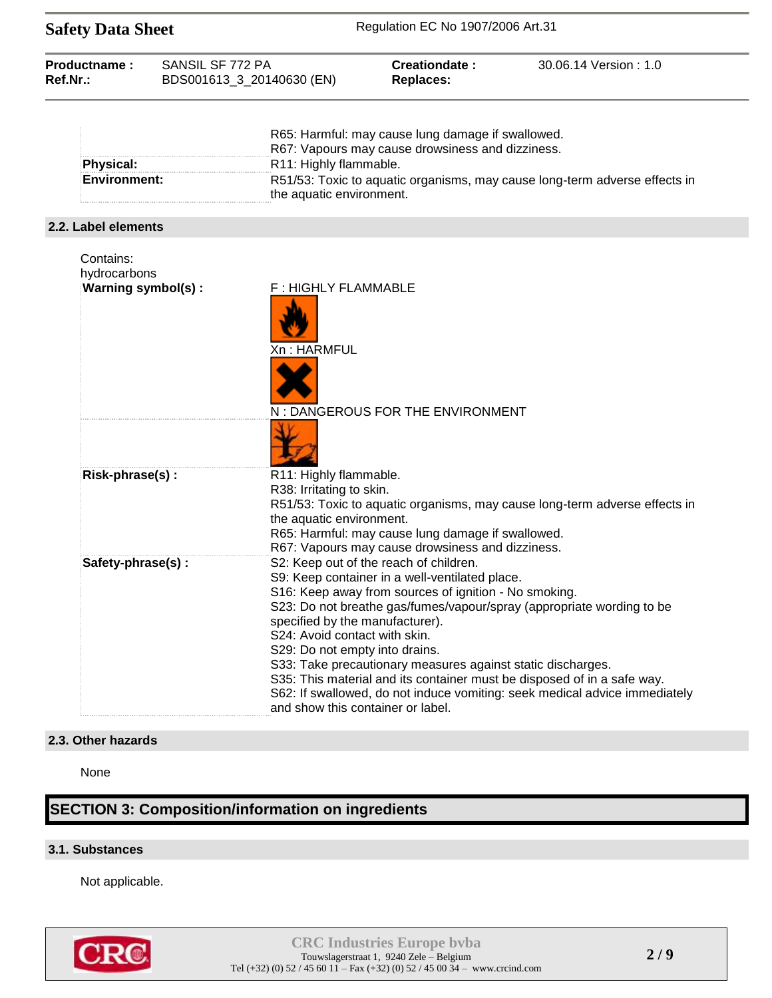| <b>Safety Data Sheet</b>                        |  |                                                                                                                                         | Regulation EC No 1907/2006 Art.31                                                                                                                                                                                |                                                                                                                                                                                                                                |
|-------------------------------------------------|--|-----------------------------------------------------------------------------------------------------------------------------------------|------------------------------------------------------------------------------------------------------------------------------------------------------------------------------------------------------------------|--------------------------------------------------------------------------------------------------------------------------------------------------------------------------------------------------------------------------------|
| Productname:<br>SANSIL SF 772 PA<br>Ref.Nr.:    |  | BDS001613_3_20140630 (EN)                                                                                                               | Creationdate:<br><b>Replaces:</b>                                                                                                                                                                                | 30.06.14 Version: 1.0                                                                                                                                                                                                          |
| <b>Physical:</b><br><b>Environment:</b>         |  | R11: Highly flammable.<br>the aquatic environment.                                                                                      | R65: Harmful: may cause lung damage if swallowed.<br>R67: Vapours may cause drowsiness and dizziness.                                                                                                            | R51/53: Toxic to aquatic organisms, may cause long-term adverse effects in                                                                                                                                                     |
| 2.2. Label elements                             |  |                                                                                                                                         |                                                                                                                                                                                                                  |                                                                                                                                                                                                                                |
| Contains:<br>hydrocarbons<br>Warning symbol(s): |  | F: HIGHLY FLAMMABLE<br>Xn : HARMFUL                                                                                                     | N: DANGEROUS FOR THE ENVIRONMENT                                                                                                                                                                                 |                                                                                                                                                                                                                                |
| Risk-phrase(s):                                 |  | R11: Highly flammable.<br>R38: Irritating to skin.<br>the aquatic environment.                                                          | R65: Harmful: may cause lung damage if swallowed.<br>R67: Vapours may cause drowsiness and dizziness.                                                                                                            | R51/53: Toxic to aquatic organisms, may cause long-term adverse effects in                                                                                                                                                     |
| Safety-phrase(s):                               |  | specified by the manufacturer).<br>S24: Avoid contact with skin.<br>S29: Do not empty into drains.<br>and show this container or label. | S2: Keep out of the reach of children.<br>S9: Keep container in a well-ventilated place.<br>S16: Keep away from sources of ignition - No smoking.<br>S33: Take precautionary measures against static discharges. | S23: Do not breathe gas/fumes/vapour/spray (appropriate wording to be<br>S35: This material and its container must be disposed of in a safe way.<br>S62: If swallowed, do not induce vomiting: seek medical advice immediately |

### **2.3. Other hazards**

None

# **SECTION 3: Composition/information on ingredients**

# **3.1. Substances**

Not applicable.

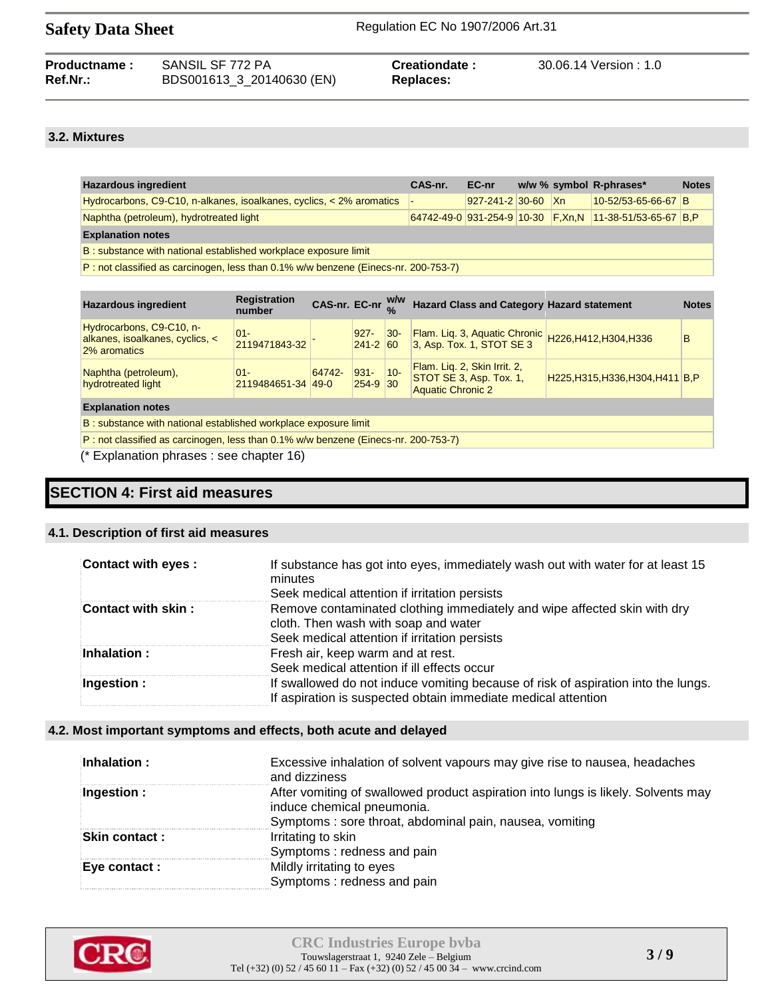| <b>Productname:</b> | SANSIL SF 772 PA          | Creationdate: | 30.06.14 Version : 1.0 |
|---------------------|---------------------------|---------------|------------------------|
| Ref.Nr.:            | BDS001613_3_20140630 (EN) | Replaces:     |                        |

# **3.2. Mixtures**

| <b>Hazardous ingredient</b>                                                            | CAS-nr. | EC-nr              |  |  | w/w % symbol R-phrases*                                 | <b>Notes</b> |
|----------------------------------------------------------------------------------------|---------|--------------------|--|--|---------------------------------------------------------|--------------|
| Hydrocarbons, C9-C10, n-alkanes, isoalkanes, cyclics, < 2% aromatics                   |         | 927-241-2 30-60 Xn |  |  | 10-52/53-65-66-67 B                                     |              |
| Naphtha (petroleum), hydrotreated light                                                |         |                    |  |  | 64742-49-0 931-254-9 10-30 F,Xn,N 11-38-51/53-65-67 B,P |              |
| <b>Explanation notes</b>                                                               |         |                    |  |  |                                                         |              |
| <b>B</b> : substance with national established workplace exposure limit                |         |                    |  |  |                                                         |              |
| $D$ and close if ind as carcinograph loss than 0.1% why bonzone (Finece pr. 200.753.7) |         |                    |  |  |                                                         |              |

P : not classified as carcinogen, less than 0.1% w/w benzene (Einecs-nr. 200-753-7)

| <b>Hazardous ingredient</b>                                                          | <b>Registration</b><br>number |        |                         |        | CAS-nr. EC-nr $^{W/W}_{0}$ Hazard Class and Category Hazard statement               |                                   | <b>Notes</b> |  |
|--------------------------------------------------------------------------------------|-------------------------------|--------|-------------------------|--------|-------------------------------------------------------------------------------------|-----------------------------------|--------------|--|
| Hydrocarbons, C9-C10, n-<br>alkanes, isoalkanes, cyclics, <<br>2% aromatics          | $01 -$<br>2119471843-32       |        | $927 -$<br>$241 - 2$ 60 | $ 30-$ | Flam. Lig. 3, Aquatic Chronic<br>3, Asp. Tox. 1, STOT SE 3                          | H226, H412, H304, H336            | в            |  |
| Naphtha (petroleum),<br>hydrotreated light                                           | $01 -$<br>2119484651-34 49-0  | 64742- | 931-<br>254-9 30        | $ 10-$ | Flam. Lig. 2, Skin Irrit. 2,<br>STOT SE 3, Asp. Tox. 1,<br><b>Aquatic Chronic 2</b> | H225, H315, H336, H304, H411 B, P |              |  |
| <b>Explanation notes</b>                                                             |                               |        |                         |        |                                                                                     |                                   |              |  |
| B: substance with national established workplace exposure limit                      |                               |        |                         |        |                                                                                     |                                   |              |  |
| $P:$ not classified as carcinogen, less than 0.1% w/w benzene (Einecs-nr. 200-753-7) |                               |        |                         |        |                                                                                     |                                   |              |  |

(\* Explanation phrases : see chapter 16)

# **SECTION 4: First aid measures**

### **4.1. Description of first aid measures**

| <b>Contact with eyes:</b> | If substance has got into eyes, immediately wash out with water for at least 15<br>minutes<br>Seek medical attention if irritation persists                       |
|---------------------------|-------------------------------------------------------------------------------------------------------------------------------------------------------------------|
| Contact with skin :       | Remove contaminated clothing immediately and wipe affected skin with dry<br>cloth. Then wash with soap and water<br>Seek medical attention if irritation persists |
| $\mathsf{Inhalation:}$    | Fresh air, keep warm and at rest.<br>Seek medical attention if ill effects occur                                                                                  |
| Ingestion :               | If swallowed do not induce vomiting because of risk of aspiration into the lungs.<br>If aspiration is suspected obtain immediate medical attention                |

### **4.2. Most important symptoms and effects, both acute and delayed**

| Inhalation:          | Excessive inhalation of solvent vapours may give rise to nausea, headaches<br>and dizziness                                                                                |
|----------------------|----------------------------------------------------------------------------------------------------------------------------------------------------------------------------|
| Ingestion :          | After vomiting of swallowed product aspiration into lungs is likely. Solvents may<br>induce chemical pneumonia.<br>Symptoms: sore throat, abdominal pain, nausea, vomiting |
| <b>Skin contact:</b> | Irritating to skin<br>Symptoms: redness and pain                                                                                                                           |
| Eye contact :        | Mildly irritating to eyes<br>Symptoms: redness and pain                                                                                                                    |

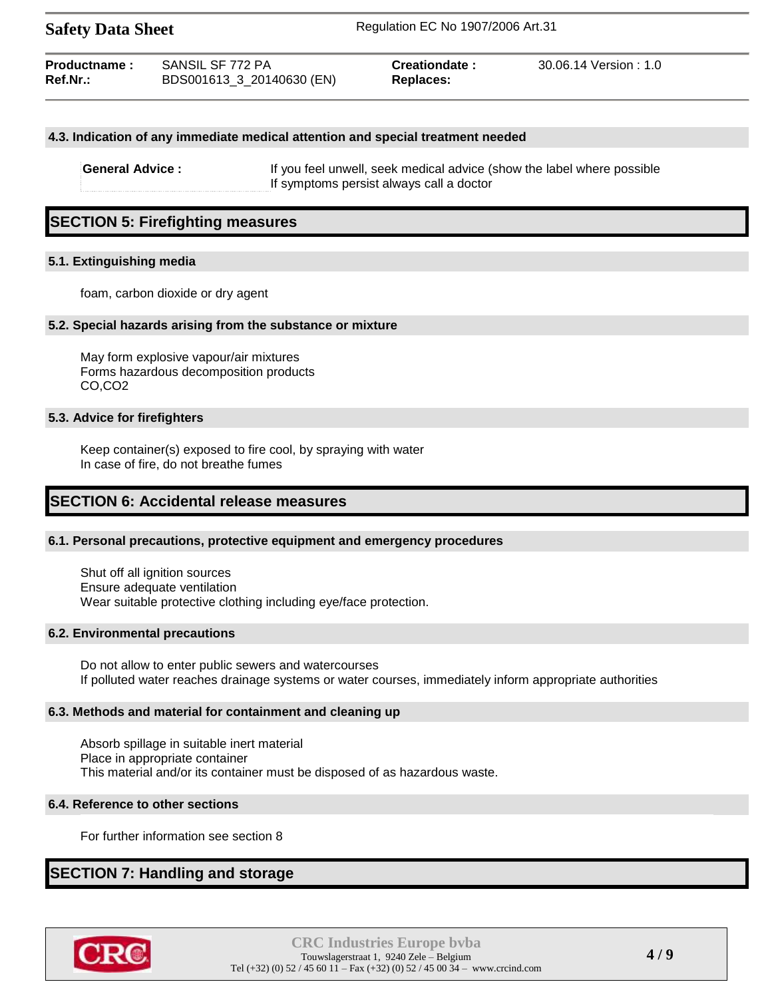| Productname: | SANSIL SF 772 PA          | Creationdate: | 30.06.14 Version: 1.0 |
|--------------|---------------------------|---------------|-----------------------|
| Ref.Nr.:     | BDS001613_3_20140630 (EN) | Replaces:     |                       |

### **4.3. Indication of any immediate medical attention and special treatment needed**

**General Advice :** If you feel unwell, seek medical advice (show the label where possible If symptoms persist always call a doctor

# **SECTION 5: Firefighting measures**

### **5.1. Extinguishing media**

foam, carbon dioxide or dry agent

### **5.2. Special hazards arising from the substance or mixture**

May form explosive vapour/air mixtures Forms hazardous decomposition products CO,CO2

### **5.3. Advice for firefighters**

Keep container(s) exposed to fire cool, by spraying with water In case of fire, do not breathe fumes

## **SECTION 6: Accidental release measures**

### **6.1. Personal precautions, protective equipment and emergency procedures**

Shut off all ignition sources Ensure adequate ventilation Wear suitable protective clothing including eye/face protection.

### **6.2. Environmental precautions**

Do not allow to enter public sewers and watercourses If polluted water reaches drainage systems or water courses, immediately inform appropriate authorities

### **6.3. Methods and material for containment and cleaning up**

Absorb spillage in suitable inert material Place in appropriate container This material and/or its container must be disposed of as hazardous waste.

### **6.4. Reference to other sections**

For further information see section 8

# **SECTION 7: Handling and storage**

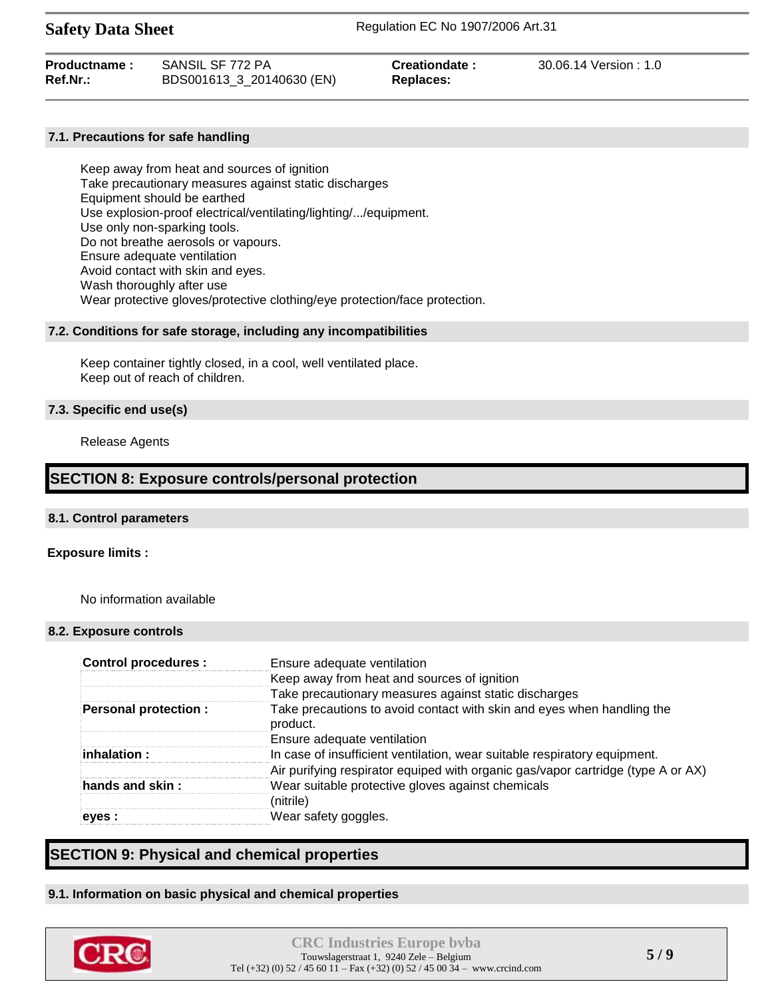| Productname: | SANSIL SF 772 PA          | Creationdate: | 30.06.14 Version : 1.0 |
|--------------|---------------------------|---------------|------------------------|
| Ref.Nr.:     | BDS001613_3_20140630 (EN) | Replaces:     |                        |

### **7.1. Precautions for safe handling**

Keep away from heat and sources of ignition Take precautionary measures against static discharges Equipment should be earthed Use explosion-proof electrical/ventilating/lighting/.../equipment. Use only non-sparking tools. Do not breathe aerosols or vapours. Ensure adequate ventilation Avoid contact with skin and eyes. Wash thoroughly after use Wear protective gloves/protective clothing/eye protection/face protection.

### **7.2. Conditions for safe storage, including any incompatibilities**

Keep container tightly closed, in a cool, well ventilated place. Keep out of reach of children.

### **7.3. Specific end use(s)**

Release Agents

# **SECTION 8: Exposure controls/personal protection**

### **8.1. Control parameters**

### **Exposure limits :**

No information available

### **8.2. Exposure controls**

| <b>Control procedures:</b>  | Ensure adequate ventilation                                                        |
|-----------------------------|------------------------------------------------------------------------------------|
|                             | Keep away from heat and sources of ignition                                        |
|                             | Take precautionary measures against static discharges                              |
| <b>Personal protection:</b> | Take precautions to avoid contact with skin and eyes when handling the<br>product. |
|                             | Ensure adequate ventilation                                                        |
| inhalation :                | In case of insufficient ventilation, wear suitable respiratory equipment.          |
|                             | Air purifying respirator equiped with organic gas/vapor cartridge (type A or AX)   |
| hands and skin:             | Wear suitable protective gloves against chemicals                                  |
|                             | (nitrile)                                                                          |
| eyes :                      | Wear safety goggles.                                                               |

# **SECTION 9: Physical and chemical properties**

### **9.1. Information on basic physical and chemical properties**

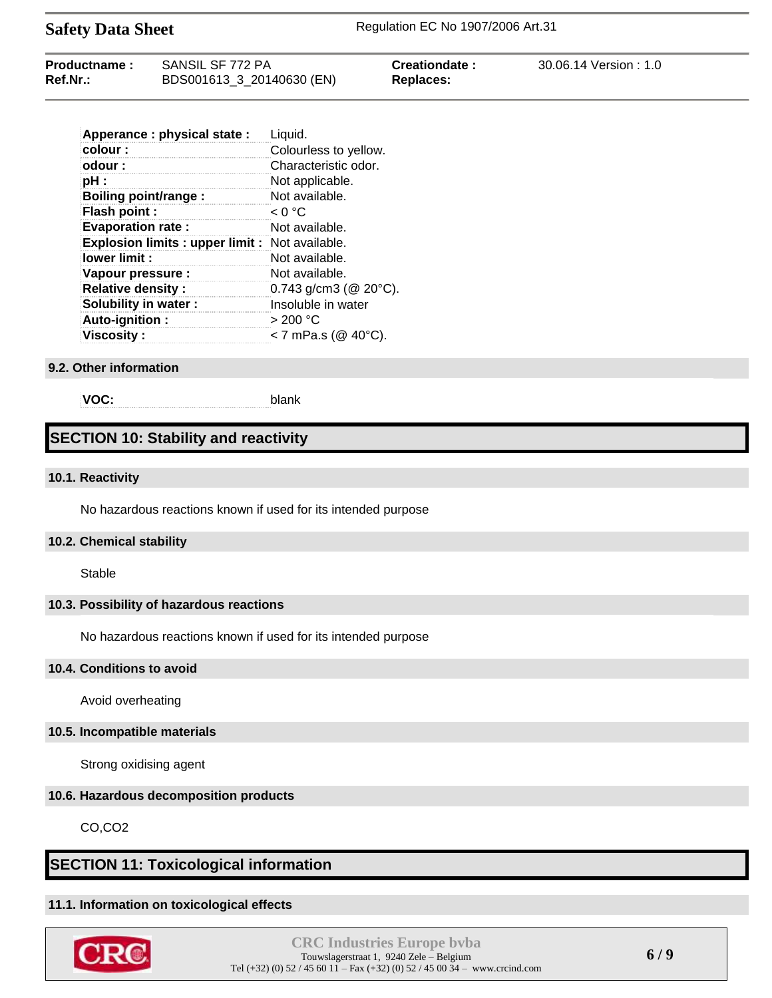| Productname: | SANSIL SF 772 PA          | Creationdate: | 30.06.14 Version: 1.0 |
|--------------|---------------------------|---------------|-----------------------|
| Ref.Nr.:     | BDS001613_3_20140630 (EN) | Replaces:     |                       |

| Apperance : physical state :                    | Liquid.                      |
|-------------------------------------------------|------------------------------|
| colour:                                         | Colourless to yellow.        |
| odour:                                          | Characteristic odor.         |
| pH :                                            | Not applicable.              |
| <b>Boiling point/range:</b>                     | Not available.               |
| Flash point :                                   | < 0 °C                       |
| <b>Evaporation rate:</b>                        | Not available.               |
| Explosion limits : upper limit : Not available. |                              |
| lower limit:                                    | Not available.               |
| Vapour pressure :                               | Not available.               |
| <b>Relative density:</b>                        | 0.743 g/cm3 ( $@$ 20 $°C$ ). |
| Solubility in water:                            | Insoluble in water           |
| Auto-ignition:                                  | >200 °C                      |
| <b>Viscosity:</b>                               | < 7 mPa.s ( $@$ 40°C).       |

### **9.2. Other information**

**VOC:** blank

# **SECTION 10: Stability and reactivity**

### **10.1. Reactivity**

No hazardous reactions known if used for its intended purpose

### **10.2. Chemical stability**

**Stable** 

### **10.3. Possibility of hazardous reactions**

No hazardous reactions known if used for its intended purpose

### **10.4. Conditions to avoid**

Avoid overheating

### **10.5. Incompatible materials**

Strong oxidising agent

### **10.6. Hazardous decomposition products**

CO,CO2

## **SECTION 11: Toxicological information**

### **11.1. Information on toxicological effects**

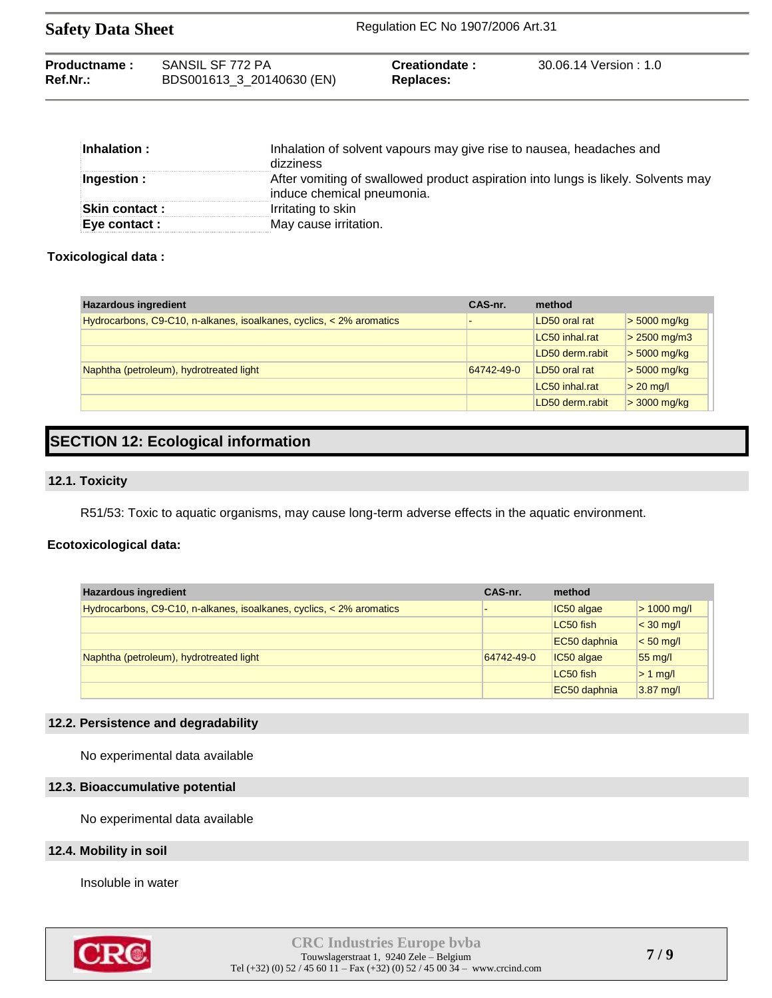| <b>Safety Data Sheet</b> |                           | Regulation EC No 1907/2006 Art.31 |                      |  |
|--------------------------|---------------------------|-----------------------------------|----------------------|--|
| Productname:             | SANSIL SF 772 PA          | Creationdate:                     | 30.06.14 Version:1.0 |  |
| $Ref.Nr.$ :              | BDS001613_3_20140630 (EN) | Replaces:                         |                      |  |

| $\blacksquare$ Inhalation : | Inhalation of solvent vapours may give rise to nausea, headaches and<br>dizziness                               |
|-----------------------------|-----------------------------------------------------------------------------------------------------------------|
| $\parallel$ Ingestion :     | After vomiting of swallowed product aspiration into lungs is likely. Solvents may<br>induce chemical pneumonia. |
| <b>Skin contact :</b>       | Irritating to skin                                                                                              |
| <b>Eve contact :</b>        | May cause irritation.                                                                                           |

### **Toxicological data :**

| <b>Hazardous ingredient</b>                                          | CAS-nr.    | method          |                           |
|----------------------------------------------------------------------|------------|-----------------|---------------------------|
| Hydrocarbons, C9-C10, n-alkanes, isoalkanes, cyclics, < 2% aromatics |            | LD50 oral rat   | $> 5000$ mg/kg            |
|                                                                      |            | LC50 inhal.rat  | $> 2500 \,\mathrm{mg/m3}$ |
|                                                                      |            | LD50 derm.rabit | $>$ 5000 mg/kg            |
| Naphtha (petroleum), hydrotreated light                              | 64742-49-0 | LD50 oral rat   | $>$ 5000 mg/kg            |
|                                                                      |            | LC50 inhal.rat  | $> 20$ mg/l               |
|                                                                      |            | LD50 derm.rabit | $>$ 3000 mg/kg            |

# **SECTION 12: Ecological information**

### **12.1. Toxicity**

R51/53: Toxic to aquatic organisms, may cause long-term adverse effects in the aquatic environment.

# **Ecotoxicological data:**

| <b>Hazardous ingredient</b>                                               | CAS-nr.    | method       |                     |
|---------------------------------------------------------------------------|------------|--------------|---------------------|
| Hydrocarbons, $C9-C10$ , n-alkanes, isoalkanes, cyclics, $<$ 2% aromatics |            | IC50 algae   | $> 1000$ mg/l       |
|                                                                           |            | LC50 fish    | $<$ 30 mg/l         |
|                                                                           |            | EC50 daphnia | $< 50$ mg/l         |
| Naphtha (petroleum), hydrotreated light                                   | 64742-49-0 | IC50 algae   | $55 \text{ mg/l}$   |
|                                                                           |            | LC50 fish    | $> 1$ mg/l          |
|                                                                           |            | EC50 daphnia | $3.87 \text{ mg/l}$ |

### **12.2. Persistence and degradability**

No experimental data available

### **12.3. Bioaccumulative potential**

No experimental data available

### **12.4. Mobility in soil**

Insoluble in water

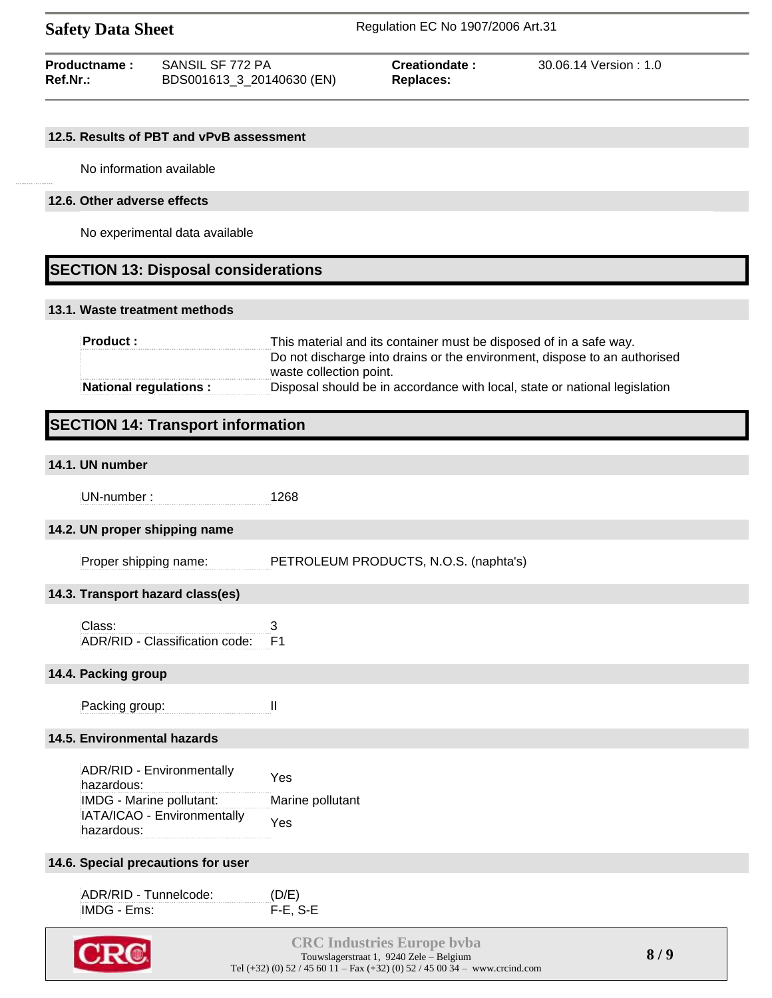| <b>Productname:</b> | SANSIL SF 772 PA          | Creationdate: | 30.06.14 Version:1.0 |
|---------------------|---------------------------|---------------|----------------------|
| <b>Ref.Nr.:</b>     | BDS001613_3_20140630 (EN) | Replaces:     |                      |

### **12.5. Results of PBT and vPvB assessment**

No information available

### **12.6. Other adverse effects**

No experimental data available

# **SECTION 13: Disposal considerations**

### **13.1. Waste treatment methods**

| <b>Product:</b>              | This material and its container must be disposed of in a safe way.         |
|------------------------------|----------------------------------------------------------------------------|
|                              | Do not discharge into drains or the environment, dispose to an authorised  |
|                              | waste collection point.                                                    |
| <b>National regulations:</b> | Disposal should be in accordance with local, state or national legislation |

# **SECTION 14: Transport information**

# **14.1. UN number** UN-number : 1268 **14.2. UN proper shipping name** Proper shipping name: PETROLEUM PRODUCTS, N.O.S. (naphta's) **14.3. Transport hazard class(es)** Class: 3 ADR/RID - Classification code: F1 **14.4. Packing group** Packing group: II **14.5. Environmental hazards** ADR/RID - Environmentally hazardous: Yes IMDG - Marine pollutant: Marine pollutant IATA/ICAO - Environmentally hazardous: Yes **14.6. Special precautions for user** ADR/RID - Tunnelcode: (D/E) IMDG - Ems: F-E, S-E